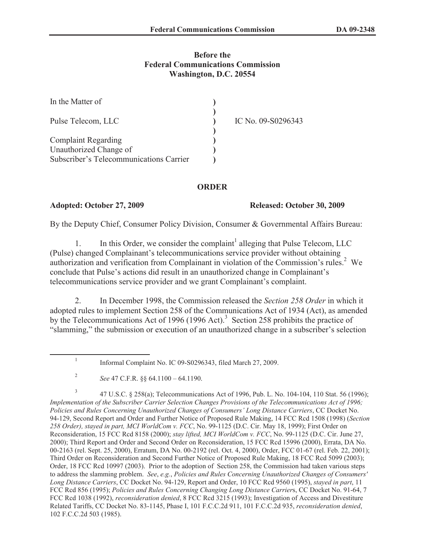# **Before the Federal Communications Commission Washington, D.C. 20554**

| In the Matter of                        |                    |
|-----------------------------------------|--------------------|
| Pulse Telecom, LLC                      | IC No. 09-S0296343 |
| <b>Complaint Regarding</b>              |                    |
| Unauthorized Change of                  |                    |
| Subscriber's Telecommunications Carrier |                    |

## **ORDER**

1

### **Adopted: October 27, 2009 Released: October 30, 2009**

By the Deputy Chief, Consumer Policy Division, Consumer & Governmental Affairs Bureau:

1. In this Order, we consider the complaint<sup>1</sup> alleging that Pulse Telecom, LLC (Pulse) changed Complainant's telecommunications service provider without obtaining authorization and verification from Complainant in violation of the Commission's rules.<sup>2</sup> We conclude that Pulse's actions did result in an unauthorized change in Complainant's telecommunications service provider and we grant Complainant's complaint.

2. In December 1998, the Commission released the *Section 258 Order* in which it adopted rules to implement Section 258 of the Communications Act of 1934 (Act), as amended by the Telecommunications Act of 1996 (1996 Act).<sup>3</sup> Section 258 prohibits the practice of "slamming," the submission or execution of an unauthorized change in a subscriber's selection

Informal Complaint No. IC 09-S0296343, filed March 27, 2009.

3 47 U.S.C. § 258(a); Telecommunications Act of 1996, Pub. L. No. 104-104, 110 Stat. 56 (1996); *Implementation of the Subscriber Carrier Selection Changes Provisions of the Telecommunications Act of 1996; Policies and Rules Concerning Unauthorized Changes of Consumers' Long Distance Carriers*, CC Docket No. 94-129, Second Report and Order and Further Notice of Proposed Rule Making, 14 FCC Rcd 1508 (1998) (*Section 258 Order), stayed in part, MCI WorldCom v. FCC*, No. 99-1125 (D.C. Cir. May 18, 1999); First Order on Reconsideration, 15 FCC Rcd 8158 (2000); *stay lifted, MCI WorldCom v. FCC*, No. 99-1125 (D.C. Cir. June 27, 2000); Third Report and Order and Second Order on Reconsideration, 15 FCC Rcd 15996 (2000), Errata, DA No. 00-2163 (rel. Sept. 25, 2000), Erratum, DA No. 00-2192 (rel. Oct. 4, 2000), Order, FCC 01-67 (rel. Feb. 22, 2001); Third Order on Reconsideration and Second Further Notice of Proposed Rule Making, 18 FCC Rcd 5099 (2003); Order, 18 FCC Rcd 10997 (2003). Prior to the adoption of Section 258, the Commission had taken various steps to address the slamming problem. *See*, *e.g.*, *Policies and Rules Concerning Unauthorized Changes of Consumers' Long Distance Carriers*, CC Docket No. 94-129, Report and Order, 10 FCC Rcd 9560 (1995), *stayed in part*, 11 FCC Rcd 856 (1995); *Policies and Rules Concerning Changing Long Distance Carrier*s, CC Docket No. 91-64, 7 FCC Rcd 1038 (1992), *reconsideration denied*, 8 FCC Rcd 3215 (1993); Investigation of Access and Divestiture Related Tariffs, CC Docket No. 83-1145, Phase I, 101 F.C.C.2d 911, 101 F.C.C.2d 935, *reconsideration denied*, 102 F.C.C.2d 503 (1985).

<sup>2</sup> *See* 47 C.F.R. §§ 64.1100 – 64.1190.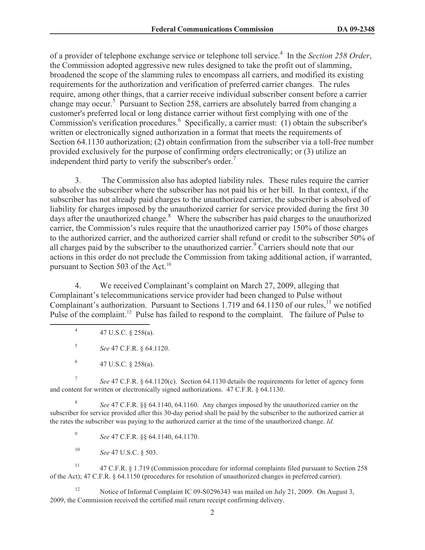of a provider of telephone exchange service or telephone toll service.<sup>4</sup> In the *Section 258 Order*, the Commission adopted aggressive new rules designed to take the profit out of slamming, broadened the scope of the slamming rules to encompass all carriers, and modified its existing requirements for the authorization and verification of preferred carrier changes. The rules require, among other things, that a carrier receive individual subscriber consent before a carrier change may occur.<sup>5</sup> Pursuant to Section 258, carriers are absolutely barred from changing a customer's preferred local or long distance carrier without first complying with one of the Commission's verification procedures.<sup>6</sup> Specifically, a carrier must: (1) obtain the subscriber's written or electronically signed authorization in a format that meets the requirements of Section 64.1130 authorization; (2) obtain confirmation from the subscriber via a toll-free number provided exclusively for the purpose of confirming orders electronically; or (3) utilize an independent third party to verify the subscriber's order.<sup>7</sup>

3. The Commission also has adopted liability rules. These rules require the carrier to absolve the subscriber where the subscriber has not paid his or her bill. In that context, if the subscriber has not already paid charges to the unauthorized carrier, the subscriber is absolved of liability for charges imposed by the unauthorized carrier for service provided during the first 30 days after the unauthorized change.<sup>8</sup> Where the subscriber has paid charges to the unauthorized carrier, the Commission's rules require that the unauthorized carrier pay 150% of those charges to the authorized carrier, and the authorized carrier shall refund or credit to the subscriber 50% of all charges paid by the subscriber to the unauthorized carrier.<sup>9</sup> Carriers should note that our actions in this order do not preclude the Commission from taking additional action, if warranted, pursuant to Section 503 of the Act.<sup>10</sup>

4. We received Complainant's complaint on March 27, 2009, alleging that Complainant's telecommunications service provider had been changed to Pulse without Complainant's authorization. Pursuant to Sections 1.719 and 64.1150 of our rules,<sup>11</sup> we notified Pulse of the complaint.<sup>12</sup> Pulse has failed to respond to the complaint. The failure of Pulse to

- 4 47 U.S.C. § 258(a).
- 5 *See* 47 C.F.R. § 64.1120.
- 6 47 U.S.C. § 258(a).

7 *See* 47 C.F.R. § 64.1120(c). Section 64.1130 details the requirements for letter of agency form and content for written or electronically signed authorizations. 47 C.F.R. § 64.1130.

8 *See* 47 C.F.R. §§ 64.1140, 64.1160. Any charges imposed by the unauthorized carrier on the subscriber for service provided after this 30-day period shall be paid by the subscriber to the authorized carrier at the rates the subscriber was paying to the authorized carrier at the time of the unauthorized change. *Id.*

9 *See* 47 C.F.R. §§ 64.1140, 64.1170.

<sup>10</sup> *See* 47 U.S.C. § 503.

<sup>11</sup> 47 C.F.R. § 1.719 (Commission procedure for informal complaints filed pursuant to Section 258 of the Act); 47 C.F.R. § 64.1150 (procedures for resolution of unauthorized changes in preferred carrier).

<sup>12</sup> Notice of Informal Complaint IC 09-S0296343 was mailed on July 21, 2009. On August 3, 2009, the Commission received the certified mail return receipt confirming delivery.